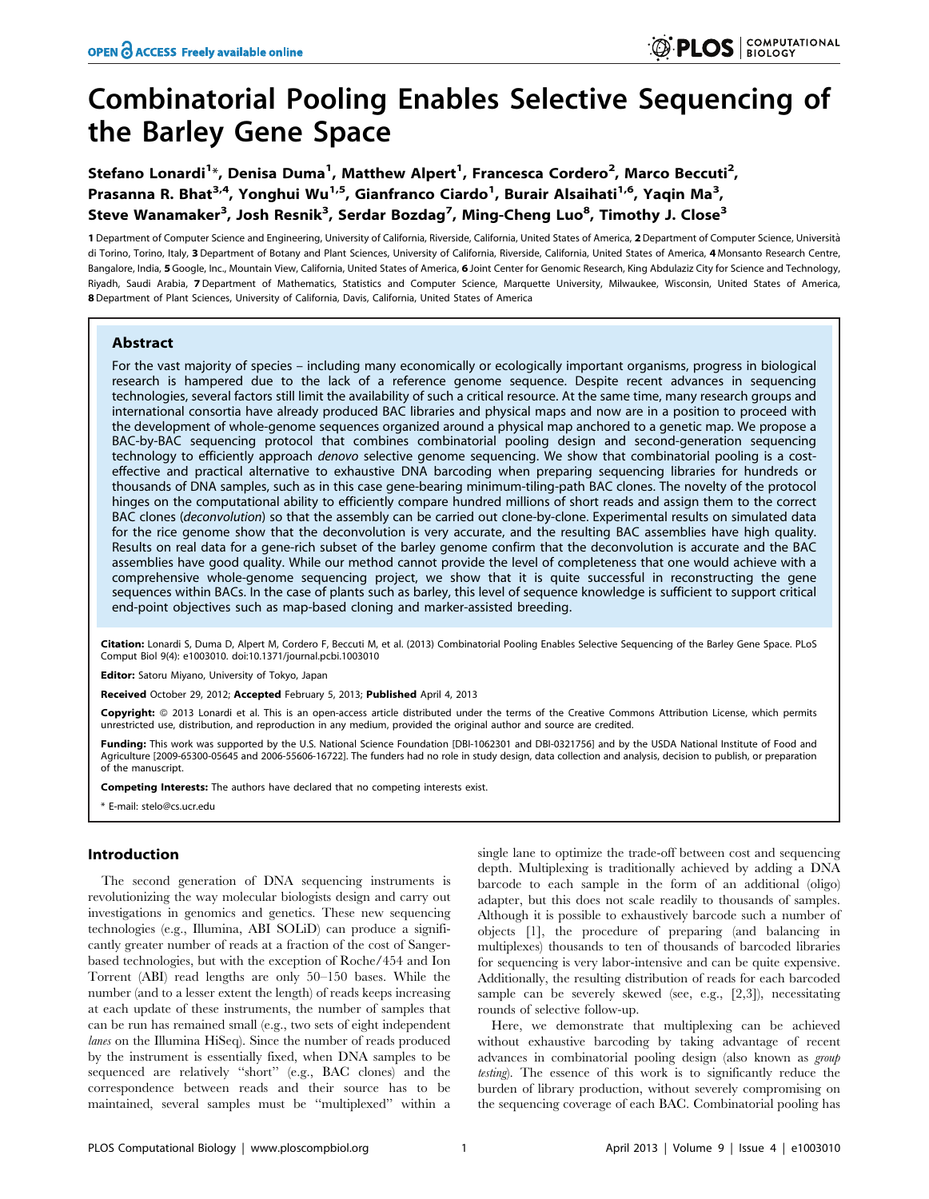# Combinatorial Pooling Enables Selective Sequencing of the Barley Gene Space

Stefano Lonardi<sup>1</sup>\*, Denisa Duma<sup>1</sup>, Matthew Alpert<sup>1</sup>, Francesca Cordero<sup>2</sup>, Marco Beccuti<sup>2</sup>, Prasanna R. Bhat<sup>3,4</sup>, Yonghui Wu<sup>1,5</sup>, Gianfranco Ciardo<sup>1</sup>, Burair Alsaihati<sup>1,6</sup>, Yaqin Ma<sup>3</sup>, Steve Wanamaker<sup>3</sup>, Josh Resnik<sup>3</sup>, Serdar Bozdag<sup>7</sup>, Ming-Cheng Luo<sup>8</sup>, Timothy J. Close<sup>3</sup>

1 Department of Computer Science and Engineering, University of California, Riverside, California, United States of America, 2 Department of Computer Science, Universita` di Torino, Torino, Italy, 3 Department of Botany and Plant Sciences, University of California, Riverside, California, United States of America, 4 Monsanto Research Centre, Bangalore, India, 5 Google, Inc., Mountain View, California, United States of America, 6 Joint Center for Genomic Research, King Abdulaziz City for Science and Technology, Riyadh, Saudi Arabia, 7 Department of Mathematics, Statistics and Computer Science, Marquette University, Milwaukee, Wisconsin, United States of America, 8 Department of Plant Sciences, University of California, Davis, California, United States of America

# Abstract

For the vast majority of species – including many economically or ecologically important organisms, progress in biological research is hampered due to the lack of a reference genome sequence. Despite recent advances in sequencing technologies, several factors still limit the availability of such a critical resource. At the same time, many research groups and international consortia have already produced BAC libraries and physical maps and now are in a position to proceed with the development of whole-genome sequences organized around a physical map anchored to a genetic map. We propose a BAC-by-BAC sequencing protocol that combines combinatorial pooling design and second-generation sequencing technology to efficiently approach denovo selective genome sequencing. We show that combinatorial pooling is a costeffective and practical alternative to exhaustive DNA barcoding when preparing sequencing libraries for hundreds or thousands of DNA samples, such as in this case gene-bearing minimum-tiling-path BAC clones. The novelty of the protocol hinges on the computational ability to efficiently compare hundred millions of short reads and assign them to the correct BAC clones (deconvolution) so that the assembly can be carried out clone-by-clone. Experimental results on simulated data for the rice genome show that the deconvolution is very accurate, and the resulting BAC assemblies have high quality. Results on real data for a gene-rich subset of the barley genome confirm that the deconvolution is accurate and the BAC assemblies have good quality. While our method cannot provide the level of completeness that one would achieve with a comprehensive whole-genome sequencing project, we show that it is quite successful in reconstructing the gene sequences within BACs. In the case of plants such as barley, this level of sequence knowledge is sufficient to support critical end-point objectives such as map-based cloning and marker-assisted breeding.

Citation: Lonardi S, Duma D, Alpert M, Cordero F, Beccuti M, et al. (2013) Combinatorial Pooling Enables Selective Sequencing of the Barley Gene Space. PLoS Comput Biol 9(4): e1003010. doi:10.1371/journal.pcbi.1003010

Editor: Satoru Miyano, University of Tokyo, Japan

Received October 29, 2012; Accepted February 5, 2013; Published April 4, 2013

Copyright: © 2013 Lonardi et al. This is an open-access article distributed under the terms of the Creative Commons Attribution License, which permits unrestricted use, distribution, and reproduction in any medium, provided the original author and source are credited.

Funding: This work was supported by the U.S. National Science Foundation [DBI-1062301 and DBI-0321756] and by the USDA National Institute of Food and Agriculture [2009-65300-05645 and 2006-55606-16722]. The funders had no role in study design, data collection and analysis, decision to publish, or preparation of the manuscript.

Competing Interests: The authors have declared that no competing interests exist.

\* E-mail: stelo@cs.ucr.edu

# Introduction

The second generation of DNA sequencing instruments is revolutionizing the way molecular biologists design and carry out investigations in genomics and genetics. These new sequencing technologies (e.g., Illumina, ABI SOLiD) can produce a significantly greater number of reads at a fraction of the cost of Sangerbased technologies, but with the exception of Roche/454 and Ion Torrent (ABI) read lengths are only 50–150 bases. While the number (and to a lesser extent the length) of reads keeps increasing at each update of these instruments, the number of samples that can be run has remained small (e.g., two sets of eight independent lanes on the Illumina HiSeq). Since the number of reads produced by the instrument is essentially fixed, when DNA samples to be sequenced are relatively ''short'' (e.g., BAC clones) and the correspondence between reads and their source has to be maintained, several samples must be ''multiplexed'' within a

single lane to optimize the trade-off between cost and sequencing depth. Multiplexing is traditionally achieved by adding a DNA barcode to each sample in the form of an additional (oligo) adapter, but this does not scale readily to thousands of samples. Although it is possible to exhaustively barcode such a number of objects [1], the procedure of preparing (and balancing in multiplexes) thousands to ten of thousands of barcoded libraries for sequencing is very labor-intensive and can be quite expensive. Additionally, the resulting distribution of reads for each barcoded sample can be severely skewed (see, e.g., [2,3]), necessitating rounds of selective follow-up.

Here, we demonstrate that multiplexing can be achieved without exhaustive barcoding by taking advantage of recent advances in combinatorial pooling design (also known as group testing). The essence of this work is to significantly reduce the burden of library production, without severely compromising on the sequencing coverage of each BAC. Combinatorial pooling has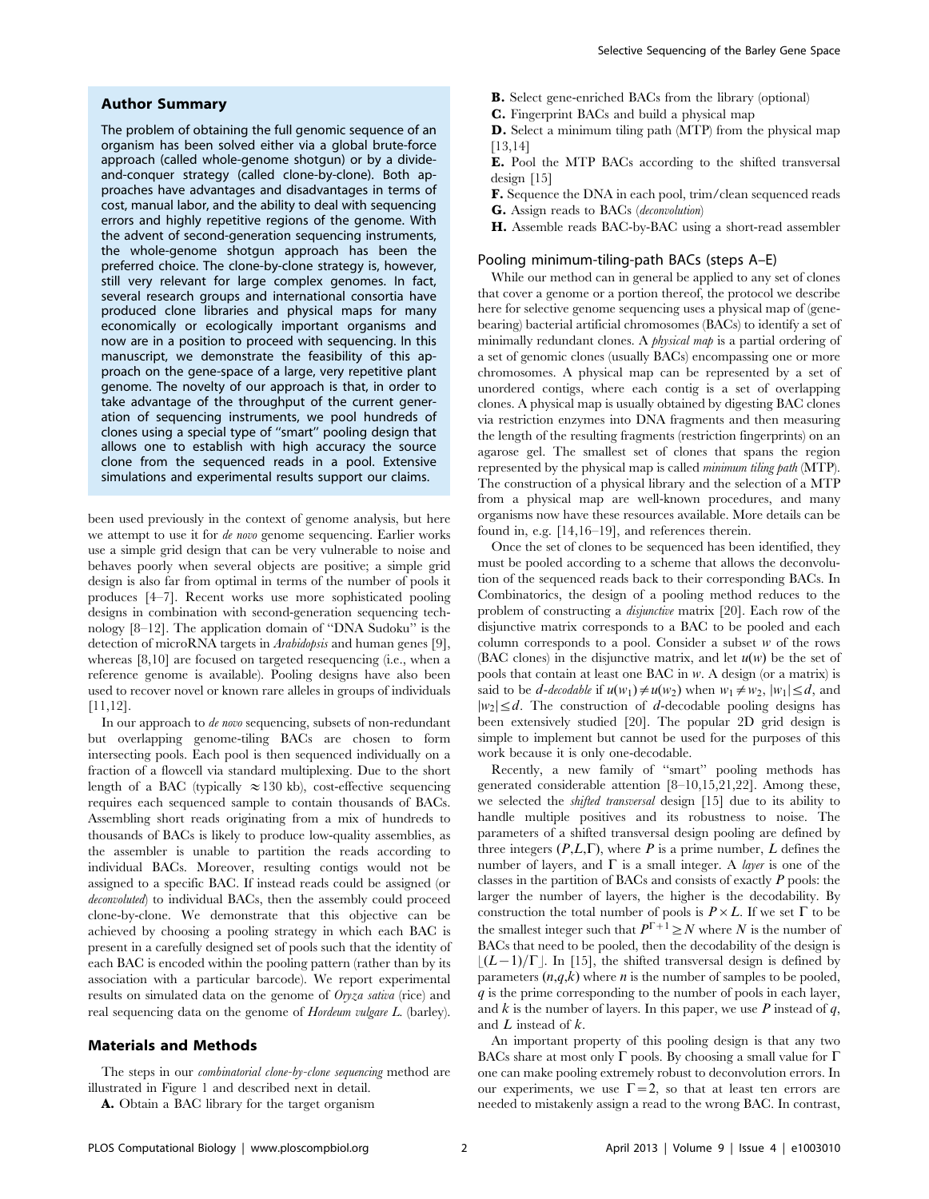## Author Summary

The problem of obtaining the full genomic sequence of an organism has been solved either via a global brute-force approach (called whole-genome shotgun) or by a divideand-conquer strategy (called clone-by-clone). Both approaches have advantages and disadvantages in terms of cost, manual labor, and the ability to deal with sequencing errors and highly repetitive regions of the genome. With the advent of second-generation sequencing instruments, the whole-genome shotgun approach has been the preferred choice. The clone-by-clone strategy is, however, still very relevant for large complex genomes. In fact, several research groups and international consortia have produced clone libraries and physical maps for many economically or ecologically important organisms and now are in a position to proceed with sequencing. In this manuscript, we demonstrate the feasibility of this approach on the gene-space of a large, very repetitive plant genome. The novelty of our approach is that, in order to take advantage of the throughput of the current generation of sequencing instruments, we pool hundreds of clones using a special type of ''smart'' pooling design that allows one to establish with high accuracy the source clone from the sequenced reads in a pool. Extensive simulations and experimental results support our claims.

been used previously in the context of genome analysis, but here we attempt to use it for de novo genome sequencing. Earlier works use a simple grid design that can be very vulnerable to noise and behaves poorly when several objects are positive; a simple grid design is also far from optimal in terms of the number of pools it produces [4–7]. Recent works use more sophisticated pooling designs in combination with second-generation sequencing technology [8–12]. The application domain of ''DNA Sudoku'' is the detection of microRNA targets in *Arabidopsis* and human genes [9], whereas [8,10] are focused on targeted resequencing (i.e., when a reference genome is available). Pooling designs have also been used to recover novel or known rare alleles in groups of individuals [11,12].

In our approach to *de novo* sequencing, subsets of non-redundant but overlapping genome-tiling BACs are chosen to form intersecting pools. Each pool is then sequenced individually on a fraction of a flowcell via standard multiplexing. Due to the short length of a BAC (typically  $\approx$ 130 kb), cost-effective sequencing requires each sequenced sample to contain thousands of BACs. Assembling short reads originating from a mix of hundreds to thousands of BACs is likely to produce low-quality assemblies, as the assembler is unable to partition the reads according to individual BACs. Moreover, resulting contigs would not be assigned to a specific BAC. If instead reads could be assigned (or deconvoluted) to individual BACs, then the assembly could proceed clone-by-clone. We demonstrate that this objective can be achieved by choosing a pooling strategy in which each BAC is present in a carefully designed set of pools such that the identity of each BAC is encoded within the pooling pattern (rather than by its association with a particular barcode). We report experimental results on simulated data on the genome of Oryza sativa (rice) and real sequencing data on the genome of Hordeum vulgare L. (barley).

## Materials and Methods

The steps in our combinatorial clone-by-clone sequencing method are illustrated in Figure 1 and described next in detail.

A. Obtain a BAC library for the target organism

B. Select gene-enriched BACs from the library (optional)

C. Fingerprint BACs and build a physical map

D. Select a minimum tiling path (MTP) from the physical map [13,14]

E. Pool the MTP BACs according to the shifted transversal design [15]

F. Sequence the DNA in each pool, trim/clean sequenced reads G. Assign reads to BACs (deconvolution)

H. Assemble reads BAC-by-BAC using a short-read assembler

## Pooling minimum-tiling-path BACs (steps A–E)

While our method can in general be applied to any set of clones that cover a genome or a portion thereof, the protocol we describe here for selective genome sequencing uses a physical map of (genebearing) bacterial artificial chromosomes (BACs) to identify a set of minimally redundant clones. A physical map is a partial ordering of a set of genomic clones (usually BACs) encompassing one or more chromosomes. A physical map can be represented by a set of unordered contigs, where each contig is a set of overlapping clones. A physical map is usually obtained by digesting BAC clones via restriction enzymes into DNA fragments and then measuring the length of the resulting fragments (restriction fingerprints) on an agarose gel. The smallest set of clones that spans the region represented by the physical map is called minimum tiling path (MTP). The construction of a physical library and the selection of a MTP from a physical map are well-known procedures, and many organisms now have these resources available. More details can be found in, e.g. [14,16–19], and references therein.

Once the set of clones to be sequenced has been identified, they must be pooled according to a scheme that allows the deconvolution of the sequenced reads back to their corresponding BACs. In Combinatorics, the design of a pooling method reduces to the problem of constructing a *disjunctive* matrix [20]. Each row of the disjunctive matrix corresponds to a BAC to be pooled and each column corresponds to a pool. Consider a subset  $w$  of the rows (BAC clones) in the disjunctive matrix, and let  $u(w)$  be the set of pools that contain at least one BAC in w. A design (or a matrix) is said to be *d*-decodable if  $u(w_1) \neq u(w_2)$  when  $w_1 \neq w_2$ ,  $|w_1| \leq d$ , and  $|w_2| \leq d$ . The construction of d-decodable pooling designs has been extensively studied [20]. The popular 2D grid design is simple to implement but cannot be used for the purposes of this work because it is only one-decodable.

Recently, a new family of ''smart'' pooling methods has generated considerable attention [8–10,15,21,22]. Among these, we selected the *shifted transversal* design [15] due to its ability to handle multiple positives and its robustness to noise. The parameters of a shifted transversal design pooling are defined by three integers  $(P, L, \Gamma)$ , where P is a prime number, L defines the number of layers, and  $\Gamma$  is a small integer. A *layer* is one of the classes in the partition of BACs and consists of exactly P pools: the larger the number of layers, the higher is the decodability. By construction the total number of pools is  $P \times L$ . If we set  $\Gamma$  to be the smallest integer such that  $P^{\Gamma+1}{\,\geq\,} N$  where  $N$  is the number of BACs that need to be pooled, then the decodability of the design is  $\lfloor (L-1)/\Gamma \rfloor$ . In [15], the shifted transversal design is defined by parameters  $(n,q,k)$  where *n* is the number of samples to be pooled, q is the prime corresponding to the number of pools in each layer, and  $k$  is the number of layers. In this paper, we use  $P$  instead of  $q$ , and  $L$  instead of  $k$ .

An important property of this pooling design is that any two BACs share at most only  $\Gamma$  pools. By choosing a small value for  $\Gamma$ one can make pooling extremely robust to deconvolution errors. In our experiments, we use  $\Gamma$  = 2, so that at least ten errors are needed to mistakenly assign a read to the wrong BAC. In contrast,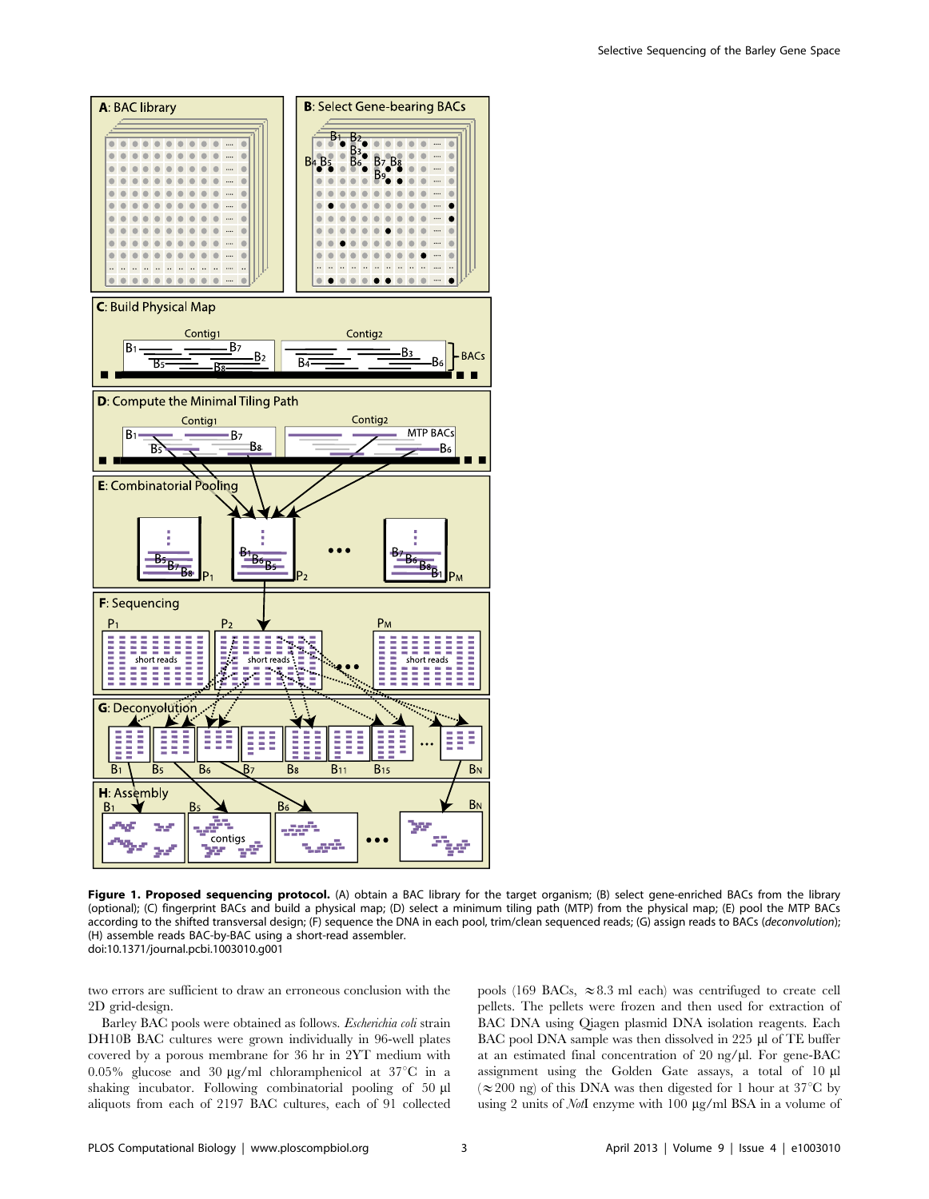



Figure 1. Proposed sequencing protocol. (A) obtain a BAC library for the target organism; (B) select gene-enriched BACs from the library (optional); (C) fingerprint BACs and build a physical map; (D) select a minimum tiling path (MTP) from the physical map; (E) pool the MTP BACs according to the shifted transversal design; (F) sequence the DNA in each pool, trim/clean sequenced reads; (G) assign reads to BACs (deconvolution); (H) assemble reads BAC-by-BAC using a short-read assembler. doi:10.1371/journal.pcbi.1003010.g001

two errors are sufficient to draw an erroneous conclusion with the 2D grid-design.

Barley BAC pools were obtained as follows. Escherichia coli strain DH10B BAC cultures were grown individually in 96-well plates covered by a porous membrane for 36 hr in 2YT medium with 0.05% glucose and 30  $\mu$ g/ml chloramphenicol at 37°C in a shaking incubator. Following combinatorial pooling of 50  $\mu$ l aliquots from each of 2197 BAC cultures, each of 91 collected

pools (169 BACs,  $\approx 8.3$  ml each) was centrifuged to create cell pellets. The pellets were frozen and then used for extraction of BAC DNA using Qiagen plasmid DNA isolation reagents. Each BAC pool DNA sample was then dissolved in 225 µl of TE buffer at an estimated final concentration of  $20 \text{ ng}/\text{µl}$ . For gene-BAC assignment using the Golden Gate assays, a total of 10 µl ( $\approx$  200 ng) of this DNA was then digested for 1 hour at 37<sup>°</sup>C by using 2 units of *Not*I enzyme with 100 μg/ml BSA in a volume of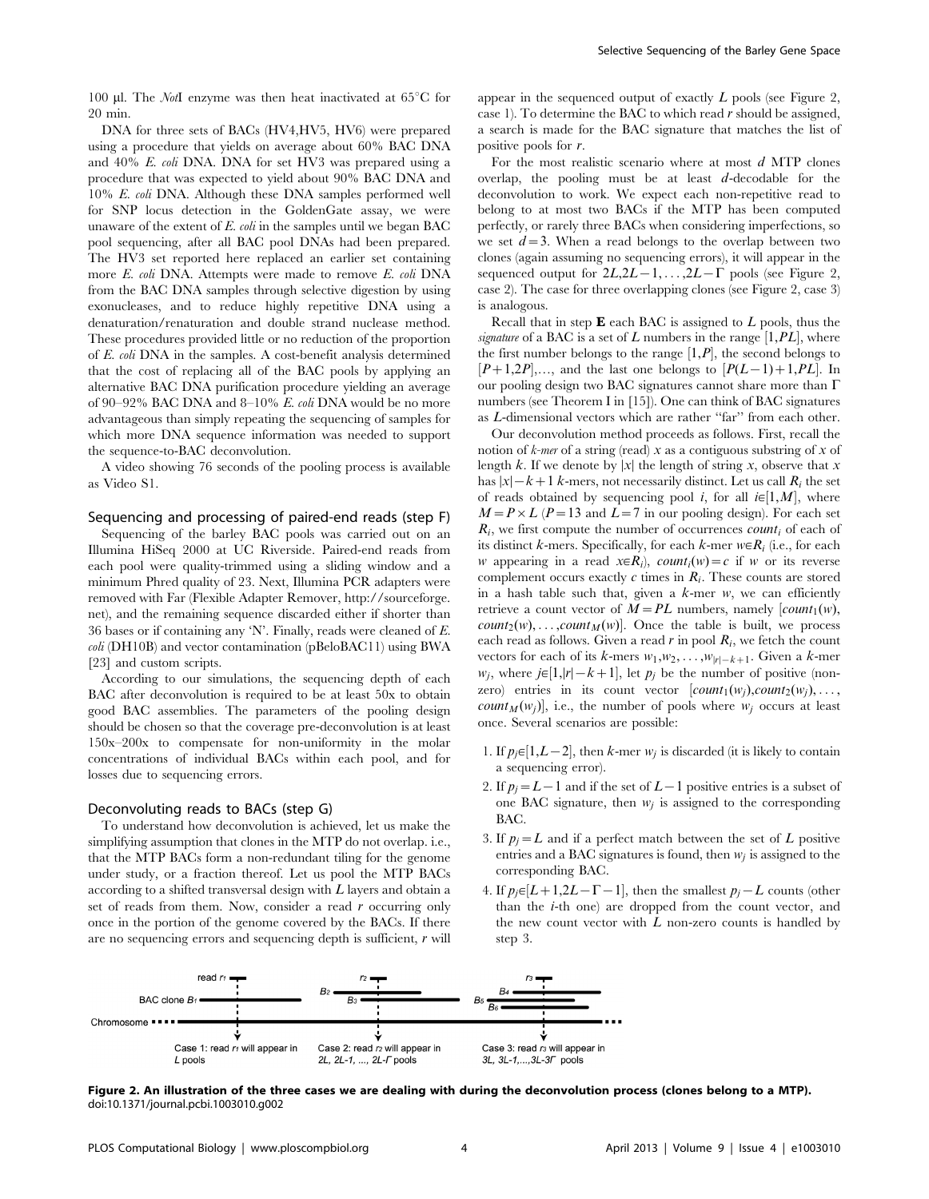100 µl. The *Not*I enzyme was then heat inactivated at  $65^{\circ}$ C for 20 min.

DNA for three sets of BACs (HV4,HV5, HV6) were prepared using a procedure that yields on average about 60% BAC DNA and 40% E. coli DNA. DNA for set HV3 was prepared using a procedure that was expected to yield about 90% BAC DNA and 10% E. coli DNA. Although these DNA samples performed well for SNP locus detection in the GoldenGate assay, we were unaware of the extent of  $E$ , coli in the samples until we began BAC pool sequencing, after all BAC pool DNAs had been prepared. The HV3 set reported here replaced an earlier set containing more E. coli DNA. Attempts were made to remove E. coli DNA from the BAC DNA samples through selective digestion by using exonucleases, and to reduce highly repetitive DNA using a denaturation/renaturation and double strand nuclease method. These procedures provided little or no reduction of the proportion of E. coli DNA in the samples. A cost-benefit analysis determined that the cost of replacing all of the BAC pools by applying an alternative BAC DNA purification procedure yielding an average of 90–92% BAC DNA and 8–10% E. coli DNA would be no more advantageous than simply repeating the sequencing of samples for which more DNA sequence information was needed to support the sequence-to-BAC deconvolution.

A video showing 76 seconds of the pooling process is available as Video S1.

#### Sequencing and processing of paired-end reads (step F)

Sequencing of the barley BAC pools was carried out on an Illumina HiSeq 2000 at UC Riverside. Paired-end reads from each pool were quality-trimmed using a sliding window and a minimum Phred quality of 23. Next, Illumina PCR adapters were removed with Far (Flexible Adapter Remover, http://sourceforge. net), and the remaining sequence discarded either if shorter than 36 bases or if containing any 'N'. Finally, reads were cleaned of E. coli (DH10B) and vector contamination (pBeloBAC11) using BWA [23] and custom scripts.

According to our simulations, the sequencing depth of each BAC after deconvolution is required to be at least 50x to obtain good BAC assemblies. The parameters of the pooling design should be chosen so that the coverage pre-deconvolution is at least 150x–200x to compensate for non-uniformity in the molar concentrations of individual BACs within each pool, and for losses due to sequencing errors.

#### Deconvoluting reads to BACs (step G)

To understand how deconvolution is achieved, let us make the simplifying assumption that clones in the MTP do not overlap. i.e., that the MTP BACs form a non-redundant tiling for the genome under study, or a fraction thereof. Let us pool the MTP BACs according to a shifted transversal design with  $L$  layers and obtain a set of reads from them. Now, consider a read  $r$  occurring only once in the portion of the genome covered by the BACs. If there are no sequencing errors and sequencing depth is sufficient, r will appear in the sequenced output of exactly  $L$  pools (see Figure 2, case 1). To determine the BAC to which read  $r$  should be assigned, a search is made for the BAC signature that matches the list of positive pools for r.

For the most realistic scenario where at most d MTP clones overlap, the pooling must be at least d-decodable for the deconvolution to work. We expect each non-repetitive read to belong to at most two BACs if the MTP has been computed perfectly, or rarely three BACs when considering imperfections, so we set  $d=3$ . When a read belongs to the overlap between two clones (again assuming no sequencing errors), it will appear in the sequenced output for  $2L, 2L-1, \ldots, 2L-\Gamma$  pools (see Figure 2, case 2). The case for three overlapping clones (see Figure 2, case 3) is analogous.

Recall that in step  $E$  each BAC is assigned to  $L$  pools, thus the signature of a BAC is a set of L numbers in the range  $[1, PL]$ , where the first number belongs to the range  $[1, P]$ , the second belongs to  $[P+1,2P],...,$  and the last one belongs to  $[P(L-1)+1,PL].$  In our pooling design two BAC signatures cannot share more than  $\Gamma$ numbers (see Theorem I in [15]). One can think of BAC signatures as L-dimensional vectors which are rather ''far'' from each other.

Our deconvolution method proceeds as follows. First, recall the notion of  $k$ -mer of a string (read) x as a contiguous substring of x of length k. If we denote by |x| the length of string x, observe that x has  $|x| - k + 1$  k-mers, not necessarily distinct. Let us call  $R_i$  the set of reads obtained by sequencing pool *i*, for all  $i \in [1, M]$ , where  $M = P \times L$  (P=13 and L=7 in our pooling design). For each set  $R_i$ , we first compute the number of occurrences *count<sub>i</sub>* of each of its distinct k-mers. Specifically, for each k-mer  $w \in R_i$  (i.e., for each w appearing in a read  $x \in R_i$ ,  $count_i(w) = c$  if w or its reverse complement occurs exactly  $c$  times in  $R_i$ . These counts are stored in a hash table such that, given a  $k$ -mer  $w$ , we can efficiently retrieve a count vector of  $M=PL$  numbers, namely  $[count_1(w),$ *count*<sub>2</sub>(*w*), ...,*count<sub>M</sub>*(*w*)]. Once the table is built, we process each read as follows. Given a read  $r$  in pool  $R_i$ , we fetch the count vectors for each of its k-mers  $w_1, w_2, \ldots, w_{|r|=k+1}$ . Given a k-mer  $w_j$ , where  $j \in [1, |r| - k + 1]$ , let  $p_j$  be the number of positive (nonzero) entries in its count vector  $\text{count}_1(w_i), \text{count}_2(w_i), \ldots,$ *count*<sub>M</sub>(*w<sub>j</sub>*)], i.e., the number of pools where  $w_j$  occurs at least once. Several scenarios are possible:

- 1. If  $p_j \in [1, L-2]$ , then k-mer  $w_j$  is discarded (it is likely to contain a sequencing error).
- 2. If  $p_i = L 1$  and if the set of  $L 1$  positive entries is a subset of one BAC signature, then  $w_i$  is assigned to the corresponding BAC.
- 3. If  $p_i = L$  and if a perfect match between the set of L positive entries and a BAC signatures is found, then  $w_i$  is assigned to the corresponding BAC.
- 4. If  $p_j \in [L+1, 2L-\Gamma-1]$ , then the smallest  $p_j L$  counts (other than the i-th one) are dropped from the count vector, and the new count vector with  $L$  non-zero counts is handled by step 3.



Figure 2. An illustration of the three cases we are dealing with during the deconvolution process (clones belong to a MTP). doi:10.1371/journal.pcbi.1003010.g002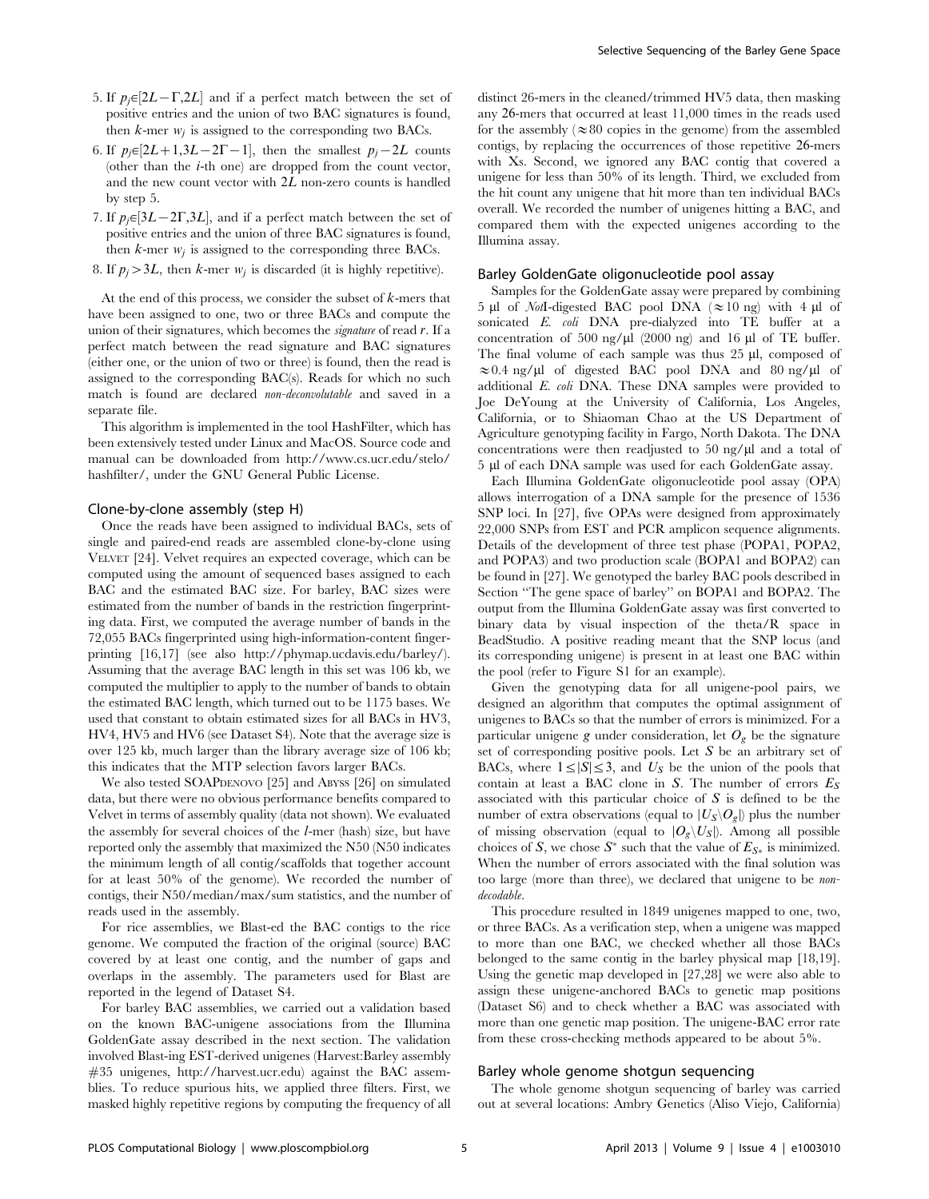- 5. If  $p_j \in [2L \Gamma, 2L]$  and if a perfect match between the set of positive entries and the union of two BAC signatures is found, then  $k$ -mer  $w_i$  is assigned to the corresponding two BACs.
- 6. If  $p_j \in [2L+1, 3L-2\Gamma-1]$ , then the smallest  $p_j 2L$  counts (other than the  $i$ -th one) are dropped from the count vector, and the new count vector with 2L non-zero counts is handled by step 5.
- 7. If  $p_j \in [3L-2\Gamma,3L]$ , and if a perfect match between the set of positive entries and the union of three BAC signatures is found, then  $k$ -mer  $w_i$  is assigned to the corresponding three BACs.
- 8. If  $p_i > 3L$ , then k-mer  $w_i$  is discarded (it is highly repetitive).

At the end of this process, we consider the subset of  $k$ -mers that have been assigned to one, two or three BACs and compute the union of their signatures, which becomes the *signature* of read  $r$ . If a perfect match between the read signature and BAC signatures (either one, or the union of two or three) is found, then the read is assigned to the corresponding BAC(s). Reads for which no such match is found are declared non-deconvolutable and saved in a separate file.

This algorithm is implemented in the tool HashFilter, which has been extensively tested under Linux and MacOS. Source code and manual can be downloaded from http://www.cs.ucr.edu/stelo/ hashfilter/, under the GNU General Public License.

#### Clone-by-clone assembly (step H)

Once the reads have been assigned to individual BACs, sets of single and paired-end reads are assembled clone-by-clone using VELVET [24]. Velvet requires an expected coverage, which can be computed using the amount of sequenced bases assigned to each BAC and the estimated BAC size. For barley, BAC sizes were estimated from the number of bands in the restriction fingerprinting data. First, we computed the average number of bands in the 72,055 BACs fingerprinted using high-information-content fingerprinting [16,17] (see also http://phymap.ucdavis.edu/barley/). Assuming that the average BAC length in this set was 106 kb, we computed the multiplier to apply to the number of bands to obtain the estimated BAC length, which turned out to be 1175 bases. We used that constant to obtain estimated sizes for all BACs in HV3, HV4, HV5 and HV6 (see Dataset S4). Note that the average size is over 125 kb, much larger than the library average size of 106 kb; this indicates that the MTP selection favors larger BACs.

We also tested SOAPDENOVO [25] and ABYSS [26] on simulated data, but there were no obvious performance benefits compared to Velvet in terms of assembly quality (data not shown). We evaluated the assembly for several choices of the l-mer (hash) size, but have reported only the assembly that maximized the N50 (N50 indicates the minimum length of all contig/scaffolds that together account for at least 50% of the genome). We recorded the number of contigs, their N50/median/max/sum statistics, and the number of reads used in the assembly.

For rice assemblies, we Blast-ed the BAC contigs to the rice genome. We computed the fraction of the original (source) BAC covered by at least one contig, and the number of gaps and overlaps in the assembly. The parameters used for Blast are reported in the legend of Dataset S4.

For barley BAC assemblies, we carried out a validation based on the known BAC-unigene associations from the Illumina GoldenGate assay described in the next section. The validation involved Blast-ing EST-derived unigenes (Harvest:Barley assembly #35 unigenes, http://harvest.ucr.edu) against the BAC assemblies. To reduce spurious hits, we applied three filters. First, we masked highly repetitive regions by computing the frequency of all distinct 26-mers in the cleaned/trimmed HV5 data, then masking any 26-mers that occurred at least 11,000 times in the reads used for the assembly ( $\approx 80$  copies in the genome) from the assembled contigs, by replacing the occurrences of those repetitive 26-mers with Xs. Second, we ignored any BAC contig that covered a unigene for less than 50% of its length. Third, we excluded from the hit count any unigene that hit more than ten individual BACs overall. We recorded the number of unigenes hitting a BAC, and compared them with the expected unigenes according to the Illumina assay.

#### Barley GoldenGate oligonucleotide pool assay

Samples for the GoldenGate assay were prepared by combining 5 µl of NotI-digested BAC pool DNA ( $\approx$  10 ng) with 4 µl of sonicated E. coli DNA pre-dialyzed into TE buffer at a concentration of 500 ng/ $\mu$ l (2000 ng) and 16  $\mu$ l of TE buffer. The final volume of each sample was thus  $25 \mu l$ , composed of  $\approx 0.4$  ng/ $\mu$ l of digested BAC pool DNA and 80 ng/ $\mu$ l of additional E. coli DNA. These DNA samples were provided to Joe DeYoung at the University of California, Los Angeles, California, or to Shiaoman Chao at the US Department of Agriculture genotyping facility in Fargo, North Dakota. The DNA concentrations were then readjusted to  $50 \text{ ng}/\mu l$  and a total of 5 µl of each DNA sample was used for each GoldenGate assay.

Each Illumina GoldenGate oligonucleotide pool assay (OPA) allows interrogation of a DNA sample for the presence of 1536 SNP loci. In [27], five OPAs were designed from approximately 22,000 SNPs from EST and PCR amplicon sequence alignments. Details of the development of three test phase (POPA1, POPA2, and POPA3) and two production scale (BOPA1 and BOPA2) can be found in [27]. We genotyped the barley BAC pools described in Section ''The gene space of barley'' on BOPA1 and BOPA2. The output from the Illumina GoldenGate assay was first converted to binary data by visual inspection of the theta/R space in BeadStudio. A positive reading meant that the SNP locus (and its corresponding unigene) is present in at least one BAC within the pool (refer to Figure S1 for an example).

Given the genotyping data for all unigene-pool pairs, we designed an algorithm that computes the optimal assignment of unigenes to BACs so that the number of errors is minimized. For a particular unigene g under consideration, let  $O_g$  be the signature set of corresponding positive pools. Let S be an arbitrary set of BACs, where  $1 \leq |S| \leq 3$ , and  $U_S$  be the union of the pools that contain at least a BAC clone in  $S$ . The number of errors  $E_S$ associated with this particular choice of S is defined to be the number of extra observations (equal to  $|U_s \backslash O_g|$ ) plus the number of missing observation (equal to  $|O_g \backslash U_S|$ ). Among all possible choices of S, we chose  $S^*$  such that the value of  $E_{S^*}$  is minimized. When the number of errors associated with the final solution was too large (more than three), we declared that unigene to be nondecodable.

This procedure resulted in 1849 unigenes mapped to one, two, or three BACs. As a verification step, when a unigene was mapped to more than one BAC, we checked whether all those BACs belonged to the same contig in the barley physical map [18,19]. Using the genetic map developed in [27,28] we were also able to assign these unigene-anchored BACs to genetic map positions (Dataset S6) and to check whether a BAC was associated with more than one genetic map position. The unigene-BAC error rate from these cross-checking methods appeared to be about 5%.

#### Barley whole genome shotgun sequencing

The whole genome shotgun sequencing of barley was carried out at several locations: Ambry Genetics (Aliso Viejo, California)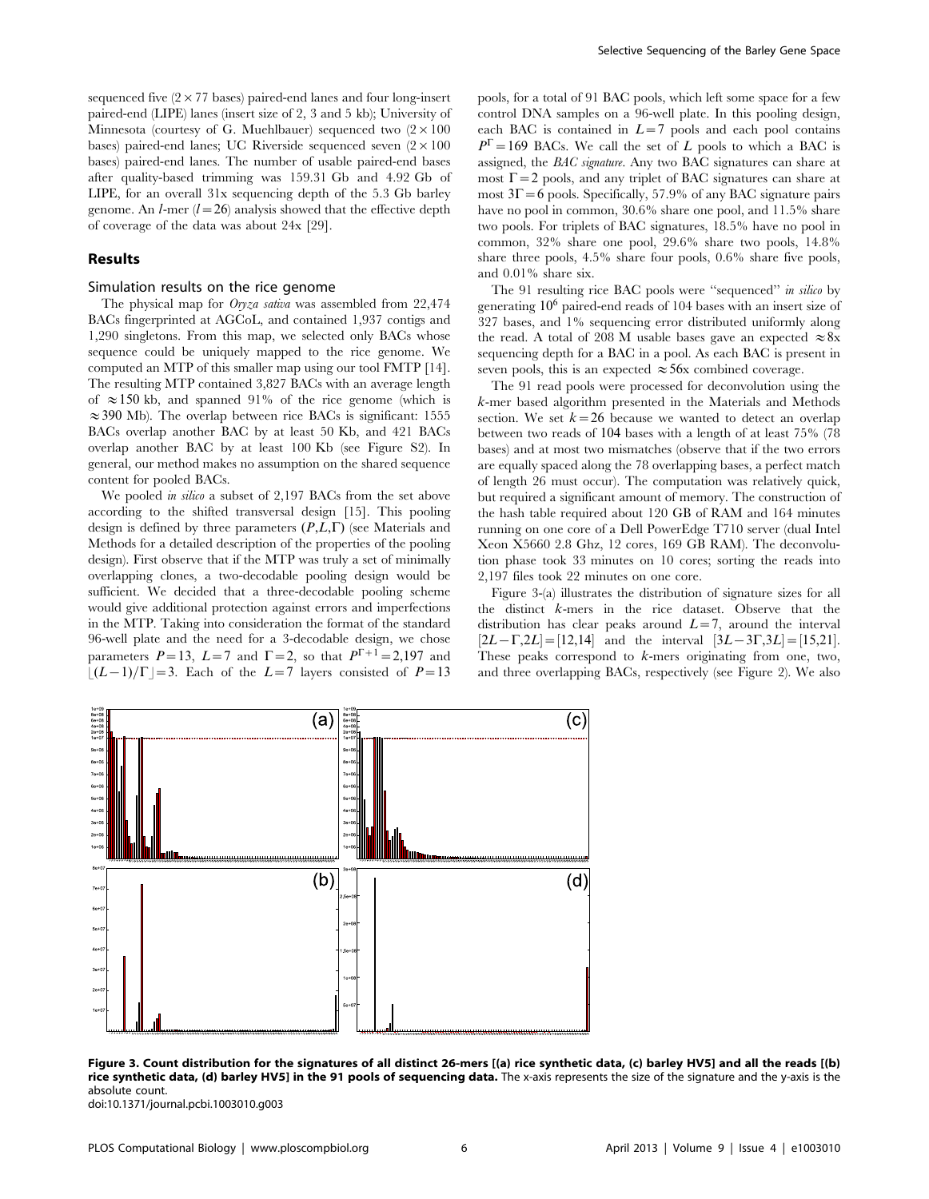sequenced five  $(2 \times 77$  bases) paired-end lanes and four long-insert paired-end (LIPE) lanes (insert size of 2, 3 and 5 kb); University of Minnesota (courtesy of G. Muehlbauer) sequenced two  $(2 \times 100)$ bases) paired-end lanes; UC Riverside sequenced seven  $(2 \times 100)$ bases) paired-end lanes. The number of usable paired-end bases after quality-based trimming was 159.31 Gb and 4.92 Gb of LIPE, for an overall 31x sequencing depth of the 5.3 Gb barley genome. An *l*-mer  $(l=26)$  analysis showed that the effective depth of coverage of the data was about 24x [29].

#### Results

# Simulation results on the rice genome

The physical map for Oryza sativa was assembled from 22,474 BACs fingerprinted at AGCoL, and contained 1,937 contigs and 1,290 singletons. From this map, we selected only BACs whose sequence could be uniquely mapped to the rice genome. We computed an MTP of this smaller map using our tool FMTP [14]. The resulting MTP contained 3,827 BACs with an average length of  $\approx 150$  kb, and spanned 91% of the rice genome (which is  $\approx$ 390 Mb). The overlap between rice BACs is significant: 1555 BACs overlap another BAC by at least 50 Kb, and 421 BACs overlap another BAC by at least 100 Kb (see Figure S2). In general, our method makes no assumption on the shared sequence content for pooled BACs.

We pooled *in silico* a subset of 2,197 BACs from the set above according to the shifted transversal design [15]. This pooling design is defined by three parameters  $(P, L, \Gamma)$  (see Materials and Methods for a detailed description of the properties of the pooling design). First observe that if the MTP was truly a set of minimally overlapping clones, a two-decodable pooling design would be sufficient. We decided that a three-decodable pooling scheme would give additional protection against errors and imperfections in the MTP. Taking into consideration the format of the standard 96-well plate and the need for a 3-decodable design, we chose parameters  $P=13$ ,  $L=7$  and  $\Gamma=2$ , so that  $P^{\Gamma+1}=2,197$  and  $\lceil (L-1)/\Gamma \rceil = 3$ . Each of the  $L=7$  layers consisted of  $P=13$ 

pools, for a total of 91 BAC pools, which left some space for a few control DNA samples on a 96-well plate. In this pooling design, each BAC is contained in  $L=7$  pools and each pool contains  $P^{\Gamma} = 169$  BACs. We call the set of L pools to which a BAC is assigned, the BAC signature. Any two BAC signatures can share at most  $\Gamma$  = 2 pools, and any triplet of BAC signatures can share at most  $3\Gamma$  = 6 pools. Specifically, 57.9% of any BAC signature pairs have no pool in common,  $30.6\%$  share one pool, and  $11.5\%$  share two pools. For triplets of BAC signatures, 18.5% have no pool in common, 32% share one pool, 29.6% share two pools, 14.8% share three pools, 4.5% share four pools, 0.6% share five pools, and 0.01% share six.

The 91 resulting rice BAC pools were "sequenced" in silico by generating  $10<sup>6</sup>$  paired-end reads of 104 bases with an insert size of 327 bases, and 1% sequencing error distributed uniformly along the read. A total of 208 M usable bases gave an expected  $\approx 8x$ sequencing depth for a BAC in a pool. As each BAC is present in seven pools, this is an expected  $\approx$  56x combined coverage.

The 91 read pools were processed for deconvolution using the k-mer based algorithm presented in the Materials and Methods section. We set  $k=26$  because we wanted to detect an overlap between two reads of 104 bases with a length of at least 75% (78 bases) and at most two mismatches (observe that if the two errors are equally spaced along the 78 overlapping bases, a perfect match of length 26 must occur). The computation was relatively quick, but required a significant amount of memory. The construction of the hash table required about 120 GB of RAM and 164 minutes running on one core of a Dell PowerEdge T710 server (dual Intel Xeon X5660 2.8 Ghz, 12 cores, 169 GB RAM). The deconvolution phase took 33 minutes on 10 cores; sorting the reads into 2,197 files took 22 minutes on one core.

Figure 3-(a) illustrates the distribution of signature sizes for all the distinct k-mers in the rice dataset. Observe that the distribution has clear peaks around  $L=7$ , around the interval  $[2L-\Gamma,2L] = [12,14]$  and the interval  $[3L-3\Gamma,3L] = [15,21]$ . These peaks correspond to  $k$ -mers originating from one, two, and three overlapping BACs, respectively (see Figure 2). We also



Figure 3. Count distribution for the signatures of all distinct 26-mers [(a) rice synthetic data, (c) barley HV5] and all the reads [(b) rice synthetic data, (d) barley HV5] in the 91 pools of sequencing data. The x-axis represents the size of the signature and the y-axis is the absolute count.

doi:10.1371/journal.pcbi.1003010.g003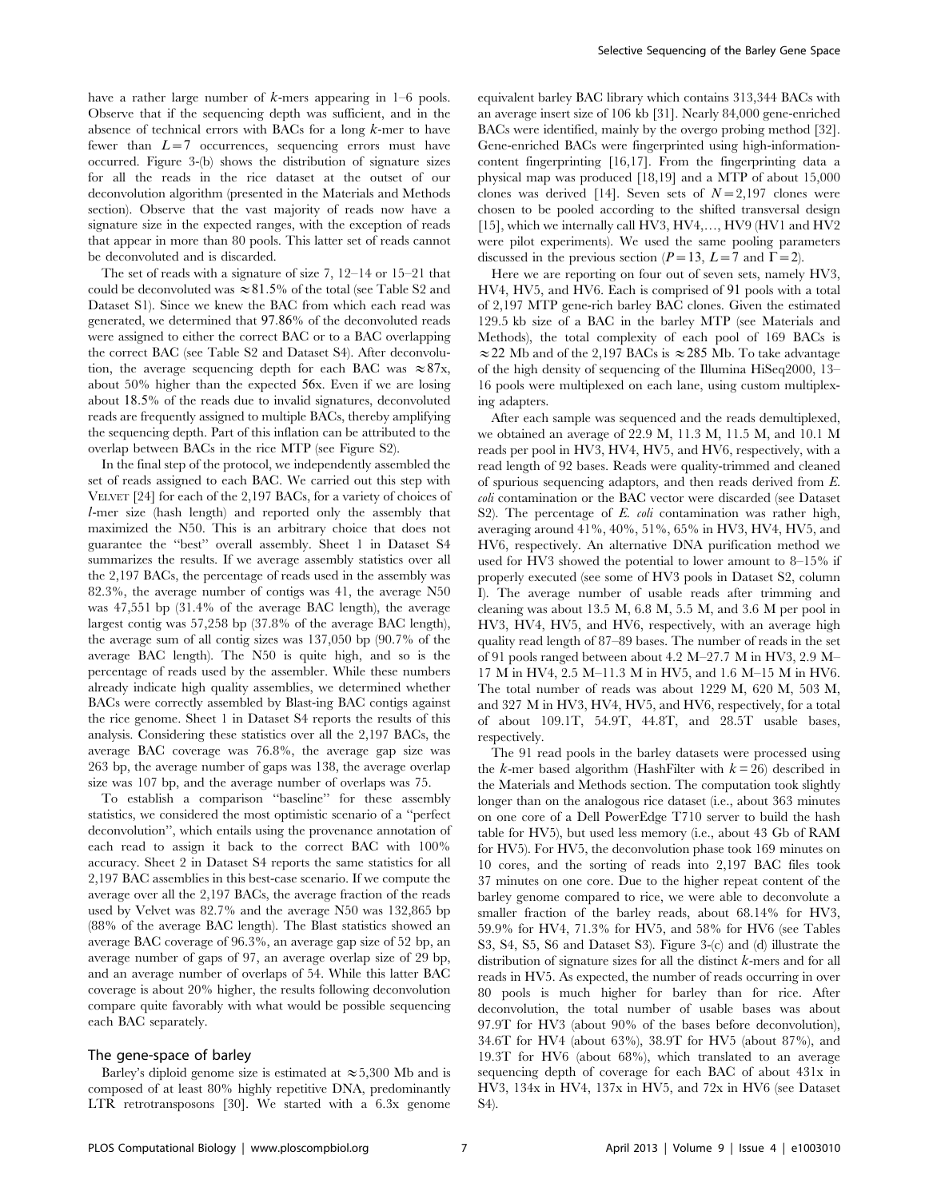have a rather large number of  $k$ -mers appearing in 1–6 pools. Observe that if the sequencing depth was sufficient, and in the absence of technical errors with BACs for a long k-mer to have fewer than  $L=7$  occurrences, sequencing errors must have occurred. Figure 3-(b) shows the distribution of signature sizes for all the reads in the rice dataset at the outset of our deconvolution algorithm (presented in the Materials and Methods section). Observe that the vast majority of reads now have a signature size in the expected ranges, with the exception of reads that appear in more than 80 pools. This latter set of reads cannot be deconvoluted and is discarded.

The set of reads with a signature of size 7, 12–14 or 15–21 that could be deconvoluted was  $\approx 81.5\%$  of the total (see Table S2 and Dataset S1). Since we knew the BAC from which each read was generated, we determined that 97:86% of the deconvoluted reads were assigned to either the correct BAC or to a BAC overlapping the correct BAC (see Table S2 and Dataset S4). After deconvolution, the average sequencing depth for each BAC was  $\approx 87x$ , about 50% higher than the expected 56x. Even if we are losing about 18:5% of the reads due to invalid signatures, deconvoluted reads are frequently assigned to multiple BACs, thereby amplifying the sequencing depth. Part of this inflation can be attributed to the overlap between BACs in the rice MTP (see Figure S2).

In the final step of the protocol, we independently assembled the set of reads assigned to each BAC. We carried out this step with VELVET [24] for each of the 2,197 BACs, for a variety of choices of l-mer size (hash length) and reported only the assembly that maximized the N50. This is an arbitrary choice that does not guarantee the ''best'' overall assembly. Sheet 1 in Dataset S4 summarizes the results. If we average assembly statistics over all the 2,197 BACs, the percentage of reads used in the assembly was 82.3%, the average number of contigs was 41, the average N50 was 47,551 bp (31.4% of the average BAC length), the average largest contig was 57,258 bp (37.8% of the average BAC length), the average sum of all contig sizes was 137,050 bp (90.7% of the average BAC length). The N50 is quite high, and so is the percentage of reads used by the assembler. While these numbers already indicate high quality assemblies, we determined whether BACs were correctly assembled by Blast-ing BAC contigs against the rice genome. Sheet 1 in Dataset S4 reports the results of this analysis. Considering these statistics over all the 2,197 BACs, the average BAC coverage was 76.8%, the average gap size was 263 bp, the average number of gaps was 138, the average overlap size was 107 bp, and the average number of overlaps was 75.

To establish a comparison ''baseline'' for these assembly statistics, we considered the most optimistic scenario of a ''perfect deconvolution'', which entails using the provenance annotation of each read to assign it back to the correct BAC with 100% accuracy. Sheet 2 in Dataset S4 reports the same statistics for all 2,197 BAC assemblies in this best-case scenario. If we compute the average over all the 2,197 BACs, the average fraction of the reads used by Velvet was 82.7% and the average N50 was 132,865 bp (88% of the average BAC length). The Blast statistics showed an average BAC coverage of 96.3%, an average gap size of 52 bp, an average number of gaps of 97, an average overlap size of 29 bp, and an average number of overlaps of 54. While this latter BAC coverage is about 20% higher, the results following deconvolution compare quite favorably with what would be possible sequencing each BAC separately.

### The gene-space of barley

Barley's diploid genome size is estimated at  $\approx 5,300$  Mb and is composed of at least 80% highly repetitive DNA, predominantly LTR retrotransposons [30]. We started with a 6.3x genome

equivalent barley BAC library which contains 313,344 BACs with an average insert size of 106 kb [31]. Nearly 84,000 gene-enriched BACs were identified, mainly by the overgo probing method [32]. Gene-enriched BACs were fingerprinted using high-informationcontent fingerprinting [16,17]. From the fingerprinting data a physical map was produced [18,19] and a MTP of about 15,000 clones was derived [14]. Seven sets of  $N=2,197$  clones were chosen to be pooled according to the shifted transversal design [15], which we internally call HV3, HV4,…, HV9 (HV1 and HV2 were pilot experiments). We used the same pooling parameters discussed in the previous section ( $P=13, L=7$  and  $\Gamma=2$ ).

Here we are reporting on four out of seven sets, namely HV3, HV4, HV5, and HV6. Each is comprised of 91 pools with a total of 2,197 MTP gene-rich barley BAC clones. Given the estimated 129.5 kb size of a BAC in the barley MTP (see Materials and Methods), the total complexity of each pool of 169 BACs is  $\approx$  22 Mb and of the 2,197 BACs is  $\approx$  285 Mb. To take advantage of the high density of sequencing of the Illumina HiSeq2000, 13– 16 pools were multiplexed on each lane, using custom multiplexing adapters.

After each sample was sequenced and the reads demultiplexed, we obtained an average of 22.9 M, 11.3 M, 11.5 M, and 10.1 M reads per pool in HV3, HV4, HV5, and HV6, respectively, with a read length of 92 bases. Reads were quality-trimmed and cleaned of spurious sequencing adaptors, and then reads derived from E. coli contamination or the BAC vector were discarded (see Dataset S2). The percentage of E. coli contamination was rather high, averaging around 41%, 40%, 51%, 65% in HV3, HV4, HV5, and HV6, respectively. An alternative DNA purification method we used for HV3 showed the potential to lower amount to 8–15% if properly executed (see some of HV3 pools in Dataset S2, column I). The average number of usable reads after trimming and cleaning was about 13.5 M, 6.8 M, 5.5 M, and 3.6 M per pool in HV3, HV4, HV5, and HV6, respectively, with an average high quality read length of 87–89 bases. The number of reads in the set of 91 pools ranged between about 4.2 M–27.7 M in HV3, 2.9 M– 17 M in HV4, 2.5 M–11.3 M in HV5, and 1.6 M–15 M in HV6. The total number of reads was about 1229 M, 620 M, 503 M, and 327 M in HV3, HV4, HV5, and HV6, respectively, for a total of about 109.1T, 54.9T, 44.8T, and 28.5T usable bases, respectively.

The 91 read pools in the barley datasets were processed using the k-mer based algorithm (HashFilter with  $k = 26$ ) described in the Materials and Methods section. The computation took slightly longer than on the analogous rice dataset (i.e., about 363 minutes on one core of a Dell PowerEdge T710 server to build the hash table for HV5), but used less memory (i.e., about 43 Gb of RAM for HV5). For HV5, the deconvolution phase took 169 minutes on 10 cores, and the sorting of reads into 2,197 BAC files took 37 minutes on one core. Due to the higher repeat content of the barley genome compared to rice, we were able to deconvolute a smaller fraction of the barley reads, about 68.14% for HV3, 59.9% for HV4, 71.3% for HV5, and 58% for HV6 (see Tables S3, S4, S5, S6 and Dataset S3). Figure 3-(c) and (d) illustrate the distribution of signature sizes for all the distinct k-mers and for all reads in HV5. As expected, the number of reads occurring in over 80 pools is much higher for barley than for rice. After deconvolution, the total number of usable bases was about 97.9T for HV3 (about 90% of the bases before deconvolution), 34.6T for HV4 (about 63%), 38.9T for HV5 (about 87%), and 19.3T for HV6 (about 68%), which translated to an average sequencing depth of coverage for each BAC of about 431x in HV3, 134x in HV4, 137x in HV5, and 72x in HV6 (see Dataset S4).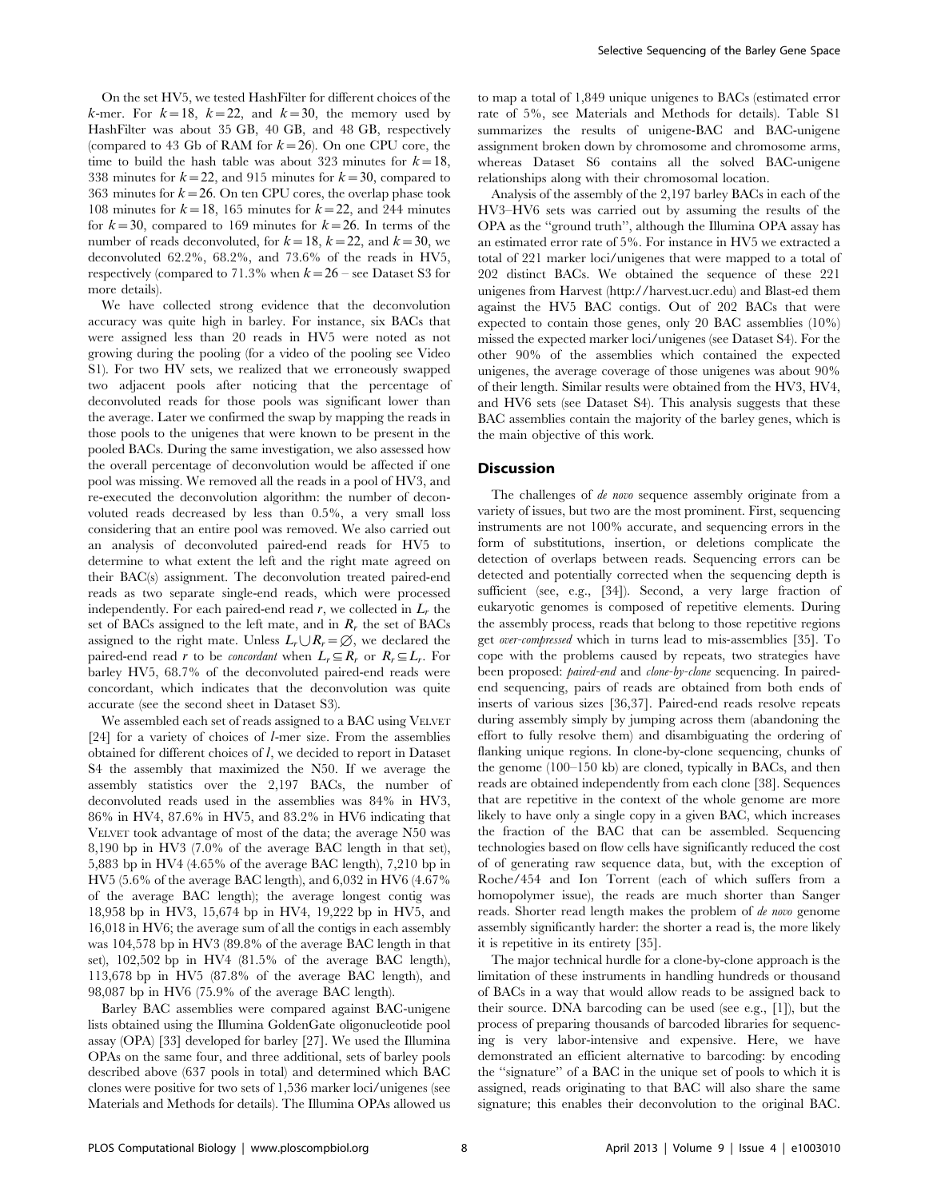On the set HV5, we tested HashFilter for different choices of the k-mer. For  $k=18$ ,  $k=22$ , and  $k=30$ , the memory used by HashFilter was about 35 GB, 40 GB, and 48 GB, respectively (compared to 43 Gb of RAM for  $k=26$ ). On one CPU core, the time to build the hash table was about 323 minutes for  $k=18$ , 338 minutes for  $k=22$ , and 915 minutes for  $k=30$ , compared to 363 minutes for  $k=26$ . On ten CPU cores, the overlap phase took 108 minutes for  $k=18$ , 165 minutes for  $k=22$ , and 244 minutes for  $k=30$ , compared to 169 minutes for  $k=26$ . In terms of the number of reads deconvoluted, for  $k=18$ ,  $k=22$ , and  $k=30$ , we deconvoluted 62.2%, 68.2%, and 73.6% of the reads in HV5, respectively (compared to 71.3% when  $k=26$  – see Dataset S3 for more details).

We have collected strong evidence that the deconvolution accuracy was quite high in barley. For instance, six BACs that were assigned less than 20 reads in HV5 were noted as not growing during the pooling (for a video of the pooling see Video S1). For two HV sets, we realized that we erroneously swapped two adjacent pools after noticing that the percentage of deconvoluted reads for those pools was significant lower than the average. Later we confirmed the swap by mapping the reads in those pools to the unigenes that were known to be present in the pooled BACs. During the same investigation, we also assessed how the overall percentage of deconvolution would be affected if one pool was missing. We removed all the reads in a pool of HV3, and re-executed the deconvolution algorithm: the number of deconvoluted reads decreased by less than 0.5%, a very small loss considering that an entire pool was removed. We also carried out an analysis of deconvoluted paired-end reads for HV5 to determine to what extent the left and the right mate agreed on their BAC(s) assignment. The deconvolution treated paired-end reads as two separate single-end reads, which were processed independently. For each paired-end read  $r$ , we collected in  $L_r$  the set of BACs assigned to the left mate, and in  $R_r$  the set of BACs assigned to the right mate. Unless  $L_r\bigcup R_r=\emptyset$ , we declared the paired-end read r to be *concordant* when  $L_r \subseteq R_r$  or  $R_r \subseteq L_r$ . For barley HV5, 68.7% of the deconvoluted paired-end reads were concordant, which indicates that the deconvolution was quite accurate (see the second sheet in Dataset S3).

We assembled each set of reads assigned to a BAC using VELVET [24] for a variety of choices of l-mer size. From the assemblies obtained for different choices of l, we decided to report in Dataset S4 the assembly that maximized the N50. If we average the assembly statistics over the 2,197 BACs, the number of deconvoluted reads used in the assemblies was 84% in HV3, 86% in HV4, 87.6% in HV5, and 83.2% in HV6 indicating that VELVET took advantage of most of the data; the average N50 was 8,190 bp in HV3 (7.0% of the average BAC length in that set), 5,883 bp in HV4 (4.65% of the average BAC length), 7,210 bp in HV5 (5.6% of the average BAC length), and 6,032 in HV6 (4.67% of the average BAC length); the average longest contig was 18,958 bp in HV3, 15,674 bp in HV4, 19,222 bp in HV5, and 16,018 in HV6; the average sum of all the contigs in each assembly was 104,578 bp in HV3 (89.8% of the average BAC length in that set), 102,502 bp in HV4 (81.5% of the average BAC length), 113,678 bp in HV5 (87.8% of the average BAC length), and 98,087 bp in HV6 (75.9% of the average BAC length).

Barley BAC assemblies were compared against BAC-unigene lists obtained using the Illumina GoldenGate oligonucleotide pool assay (OPA) [33] developed for barley [27]. We used the Illumina OPAs on the same four, and three additional, sets of barley pools described above (637 pools in total) and determined which BAC clones were positive for two sets of 1,536 marker loci/unigenes (see Materials and Methods for details). The Illumina OPAs allowed us

to map a total of 1,849 unique unigenes to BACs (estimated error rate of 5%, see Materials and Methods for details). Table S1 summarizes the results of unigene-BAC and BAC-unigene assignment broken down by chromosome and chromosome arms, whereas Dataset S6 contains all the solved BAC-unigene relationships along with their chromosomal location.

Analysis of the assembly of the 2,197 barley BACs in each of the HV3–HV6 sets was carried out by assuming the results of the OPA as the ''ground truth'', although the Illumina OPA assay has an estimated error rate of 5%. For instance in HV5 we extracted a total of 221 marker loci/unigenes that were mapped to a total of 202 distinct BACs. We obtained the sequence of these 221 unigenes from Harvest (http://harvest.ucr.edu) and Blast-ed them against the HV5 BAC contigs. Out of 202 BACs that were expected to contain those genes, only 20 BAC assemblies (10%) missed the expected marker loci/unigenes (see Dataset S4). For the other 90% of the assemblies which contained the expected unigenes, the average coverage of those unigenes was about 90% of their length. Similar results were obtained from the HV3, HV4, and HV6 sets (see Dataset S4). This analysis suggests that these BAC assemblies contain the majority of the barley genes, which is the main objective of this work.

## Discussion

The challenges of *de novo* sequence assembly originate from a variety of issues, but two are the most prominent. First, sequencing instruments are not 100% accurate, and sequencing errors in the form of substitutions, insertion, or deletions complicate the detection of overlaps between reads. Sequencing errors can be detected and potentially corrected when the sequencing depth is sufficient (see, e.g., [34]). Second, a very large fraction of eukaryotic genomes is composed of repetitive elements. During the assembly process, reads that belong to those repetitive regions get over-compressed which in turns lead to mis-assemblies [35]. To cope with the problems caused by repeats, two strategies have been proposed: paired-end and clone-by-clone sequencing. In pairedend sequencing, pairs of reads are obtained from both ends of inserts of various sizes [36,37]. Paired-end reads resolve repeats during assembly simply by jumping across them (abandoning the effort to fully resolve them) and disambiguating the ordering of flanking unique regions. In clone-by-clone sequencing, chunks of the genome (100–150 kb) are cloned, typically in BACs, and then reads are obtained independently from each clone [38]. Sequences that are repetitive in the context of the whole genome are more likely to have only a single copy in a given BAC, which increases the fraction of the BAC that can be assembled. Sequencing technologies based on flow cells have significantly reduced the cost of of generating raw sequence data, but, with the exception of Roche/454 and Ion Torrent (each of which suffers from a homopolymer issue), the reads are much shorter than Sanger reads. Shorter read length makes the problem of de novo genome assembly significantly harder: the shorter a read is, the more likely it is repetitive in its entirety [35].

The major technical hurdle for a clone-by-clone approach is the limitation of these instruments in handling hundreds or thousand of BACs in a way that would allow reads to be assigned back to their source. DNA barcoding can be used (see e.g., [1]), but the process of preparing thousands of barcoded libraries for sequencing is very labor-intensive and expensive. Here, we have demonstrated an efficient alternative to barcoding: by encoding the ''signature'' of a BAC in the unique set of pools to which it is assigned, reads originating to that BAC will also share the same signature; this enables their deconvolution to the original BAC.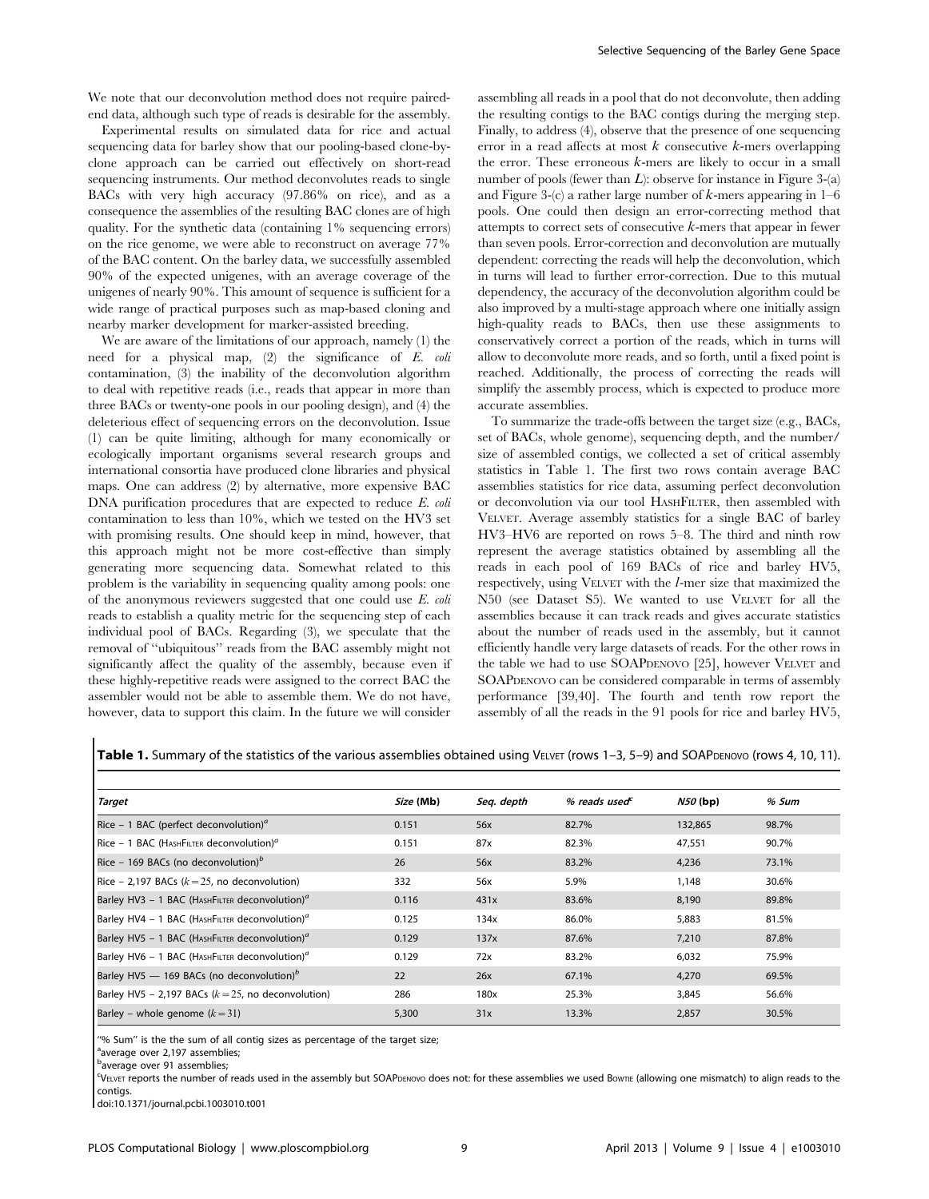We note that our deconvolution method does not require pairedend data, although such type of reads is desirable for the assembly.

Experimental results on simulated data for rice and actual sequencing data for barley show that our pooling-based clone-byclone approach can be carried out effectively on short-read sequencing instruments. Our method deconvolutes reads to single BACs with very high accuracy (97.86% on rice), and as a consequence the assemblies of the resulting BAC clones are of high quality. For the synthetic data (containing 1% sequencing errors) on the rice genome, we were able to reconstruct on average 77% of the BAC content. On the barley data, we successfully assembled 90% of the expected unigenes, with an average coverage of the unigenes of nearly 90%. This amount of sequence is sufficient for a wide range of practical purposes such as map-based cloning and nearby marker development for marker-assisted breeding.

We are aware of the limitations of our approach, namely (1) the need for a physical map, (2) the significance of E. coli contamination, (3) the inability of the deconvolution algorithm to deal with repetitive reads (i.e., reads that appear in more than three BACs or twenty-one pools in our pooling design), and (4) the deleterious effect of sequencing errors on the deconvolution. Issue (1) can be quite limiting, although for many economically or ecologically important organisms several research groups and international consortia have produced clone libraries and physical maps. One can address (2) by alternative, more expensive BAC DNA purification procedures that are expected to reduce E. coli contamination to less than 10%, which we tested on the HV3 set with promising results. One should keep in mind, however, that this approach might not be more cost-effective than simply generating more sequencing data. Somewhat related to this problem is the variability in sequencing quality among pools: one of the anonymous reviewers suggested that one could use E. coli reads to establish a quality metric for the sequencing step of each individual pool of BACs. Regarding (3), we speculate that the removal of ''ubiquitous'' reads from the BAC assembly might not significantly affect the quality of the assembly, because even if these highly-repetitive reads were assigned to the correct BAC the assembler would not be able to assemble them. We do not have, however, data to support this claim. In the future we will consider

assembling all reads in a pool that do not deconvolute, then adding the resulting contigs to the BAC contigs during the merging step. Finally, to address (4), observe that the presence of one sequencing error in a read affects at most  $k$  consecutive  $k$ -mers overlapping the error. These erroneous  $k$ -mers are likely to occur in a small number of pools (fewer than  $L$ ): observe for instance in Figure 3-(a) and Figure 3-(c) a rather large number of  $k$ -mers appearing in 1–6 pools. One could then design an error-correcting method that attempts to correct sets of consecutive k-mers that appear in fewer than seven pools. Error-correction and deconvolution are mutually dependent: correcting the reads will help the deconvolution, which in turns will lead to further error-correction. Due to this mutual dependency, the accuracy of the deconvolution algorithm could be also improved by a multi-stage approach where one initially assign high-quality reads to BACs, then use these assignments to conservatively correct a portion of the reads, which in turns will allow to deconvolute more reads, and so forth, until a fixed point is reached. Additionally, the process of correcting the reads will simplify the assembly process, which is expected to produce more accurate assemblies.

To summarize the trade-offs between the target size (e.g., BACs, set of BACs, whole genome), sequencing depth, and the number/ size of assembled contigs, we collected a set of critical assembly statistics in Table 1. The first two rows contain average BAC assemblies statistics for rice data, assuming perfect deconvolution or deconvolution via our tool HASHFILTER, then assembled with VELVET. Average assembly statistics for a single BAC of barley HV3–HV6 are reported on rows 5–8. The third and ninth row represent the average statistics obtained by assembling all the reads in each pool of 169 BACs of rice and barley HV5, respectively, using VELVET with the l-mer size that maximized the N50 (see Dataset S5). We wanted to use VELVET for all the assemblies because it can track reads and gives accurate statistics about the number of reads used in the assembly, but it cannot efficiently handle very large datasets of reads. For the other rows in the table we had to use SOAPDENOVO [25], however VELVET and SOAPDENOVO can be considered comparable in terms of assembly performance [39,40]. The fourth and tenth row report the assembly of all the reads in the 91 pools for rice and barley HV5,

Table 1. Summary of the statistics of the various assemblies obtained using VELVET (rows 1-3, 5-9) and SOAPDENOVO (rows 4, 10, 11).

| <b>Target</b>                                                     | Size (Mb) | Seq. depth | % reads used | $N50$ (bp) | % Sum |
|-------------------------------------------------------------------|-----------|------------|--------------|------------|-------|
| Rice – 1 BAC (perfect deconvolution) <sup><i>a</i></sup>          | 0.151     | 56x        | 82.7%        | 132,865    | 98.7% |
| Rice - 1 BAC (HASHFILTER deconvolution) <sup><i>a</i></sup>       | 0.151     | 87x        | 82.3%        | 47,551     | 90.7% |
| Rice – 169 BACs (no deconvolution) <sup>b</sup>                   | 26        | 56x        | 83.2%        | 4,236      | 73.1% |
| Rice – 2,197 BACs ( $k = 25$ , no deconvolution)                  | 332       | 56x        | 5.9%         | 1,148      | 30.6% |
| Barley HV3 - 1 BAC (HASHFILTER deconvolution) <sup><i>a</i></sup> | 0.116     | 431x       | 83.6%        | 8,190      | 89.8% |
| Barley HV4 - 1 BAC (HASHFILTER deconvolution) <sup><i>a</i></sup> | 0.125     | 134x       | 86.0%        | 5,883      | 81.5% |
| Barley HV5 - 1 BAC (HASHFILTER deconvolution) <sup><i>a</i></sup> | 0.129     | 137x       | 87.6%        | 7,210      | 87.8% |
| Barley HV6 - 1 BAC (HASHFILTER deconvolution) <sup><i>a</i></sup> | 0.129     | 72x        | 83.2%        | 6,032      | 75.9% |
| Barley HV5 $-$ 169 BACs (no deconvolution) <sup>b</sup>           | 22        | 26x        | 67.1%        | 4,270      | 69.5% |
| Barley HV5 - 2,197 BACs ( $k = 25$ , no deconvolution)            | 286       | 180x       | 25.3%        | 3,845      | 56.6% |
| Barley – whole genome $(k=31)$                                    | 5,300     | 31x        | 13.3%        | 2,857      | 30.5% |

% Sum" is the the sum of all contig sizes as percentage of the target size;

<sup>a</sup>average over 2,197 assemblies;

baverage over 91 assemblies;

c VELVET reports the number of reads used in the assembly but SOAPDENOVO does not: for these assemblies we used BOWTIE (allowing one mismatch) to align reads to the contigs.

doi:10.1371/journal.pcbi.1003010.t001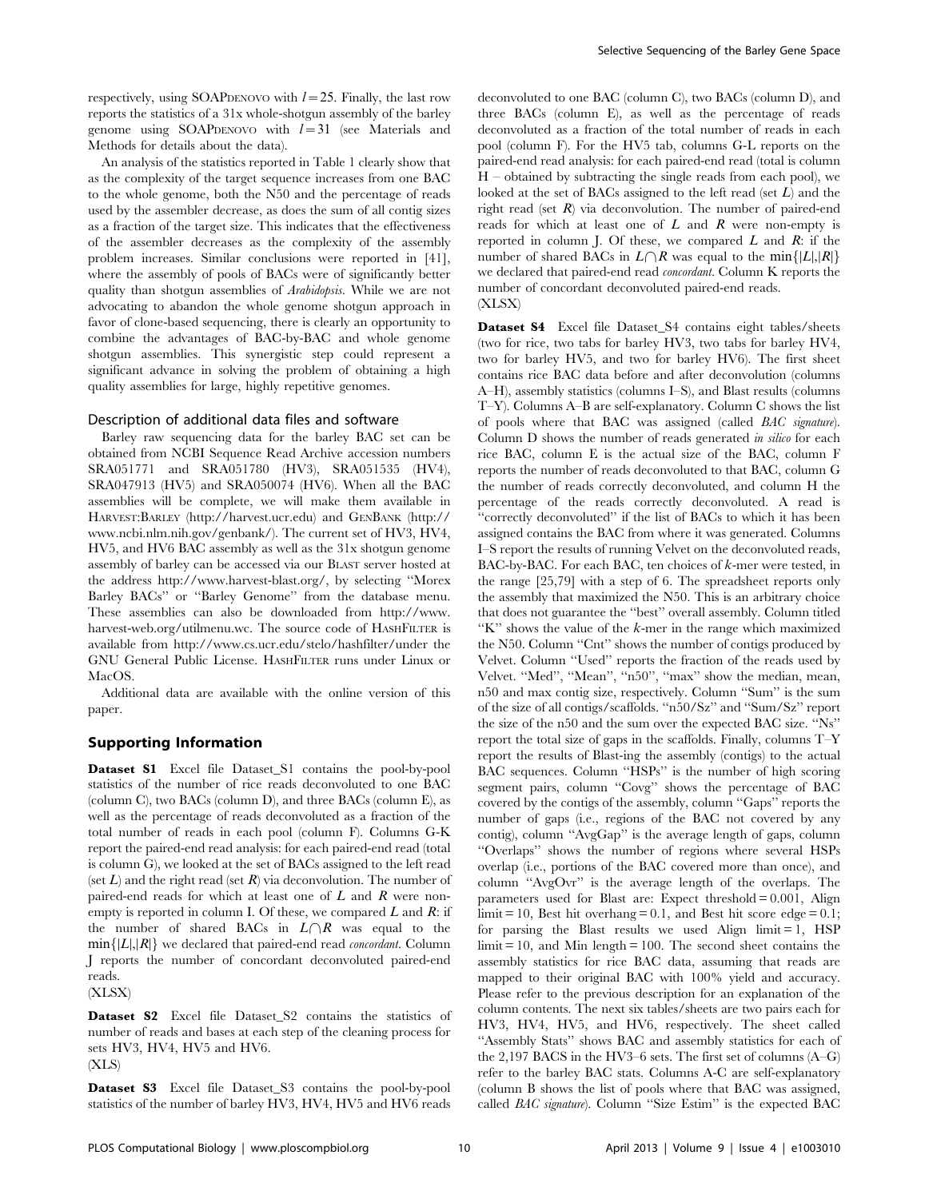respectively, using SOAPDENOVO with  $l=25$ . Finally, the last row reports the statistics of a 31x whole-shotgun assembly of the barley genome using SOAPDENOVO with  $l=31$  (see Materials and Methods for details about the data).

An analysis of the statistics reported in Table 1 clearly show that as the complexity of the target sequence increases from one BAC to the whole genome, both the N50 and the percentage of reads used by the assembler decrease, as does the sum of all contig sizes as a fraction of the target size. This indicates that the effectiveness of the assembler decreases as the complexity of the assembly problem increases. Similar conclusions were reported in [41], where the assembly of pools of BACs were of significantly better quality than shotgun assemblies of Arabidopsis. While we are not advocating to abandon the whole genome shotgun approach in favor of clone-based sequencing, there is clearly an opportunity to combine the advantages of BAC-by-BAC and whole genome shotgun assemblies. This synergistic step could represent a significant advance in solving the problem of obtaining a high quality assemblies for large, highly repetitive genomes.

# Description of additional data files and software

Barley raw sequencing data for the barley BAC set can be obtained from NCBI Sequence Read Archive accession numbers SRA051771 and SRA051780 (HV3), SRA051535 (HV4), SRA047913 (HV5) and SRA050074 (HV6). When all the BAC assemblies will be complete, we will make them available in HARVEST:BARLEY (http://harvest.ucr.edu) and GENBANK (http:// www.ncbi.nlm.nih.gov/genbank/). The current set of HV3, HV4, HV5, and HV6 BAC assembly as well as the 31x shotgun genome assembly of barley can be accessed via our BLAST server hosted at the address http://www.harvest-blast.org/, by selecting ''Morex Barley BACs'' or ''Barley Genome'' from the database menu. These assemblies can also be downloaded from http://www. harvest-web.org/utilmenu.wc. The source code of HASHFILTER is available from http://www.cs.ucr.edu/stelo/hashfilter/under the GNU General Public License. HASHFILTER runs under Linux or M<sub>ac</sub>OS

Additional data are available with the online version of this paper.

## Supporting Information

Dataset S1 Excel file Dataset\_S1 contains the pool-by-pool statistics of the number of rice reads deconvoluted to one BAC (column C), two BACs (column D), and three BACs (column E), as well as the percentage of reads deconvoluted as a fraction of the total number of reads in each pool (column F). Columns G-K report the paired-end read analysis: for each paired-end read (total is column G), we looked at the set of BACs assigned to the left read (set  $L$ ) and the right read (set  $R$ ) via deconvolution. The number of paired-end reads for which at least one of  $L$  and  $R$  were nonempty is reported in column I. Of these, we compared  $L$  and  $R$ : if the number of shared BACs in  $L\cap R$  was equal to the  $min{[L], |R|}$  we declared that paired-end read *concordant*. Column J reports the number of concordant deconvoluted paired-end reads.

(XLSX)

Dataset S2 Excel file Dataset\_S2 contains the statistics of number of reads and bases at each step of the cleaning process for sets HV3, HV4, HV5 and HV6.

Dataset S3 Excel file Dataset S3 contains the pool-by-pool statistics of the number of barley HV3, HV4, HV5 and HV6 reads

deconvoluted to one BAC (column C), two BACs (column D), and three BACs (column E), as well as the percentage of reads deconvoluted as a fraction of the total number of reads in each pool (column F). For the HV5 tab, columns G-L reports on the paired-end read analysis: for each paired-end read (total is column H – obtained by subtracting the single reads from each pool), we looked at the set of BACs assigned to the left read (set  $L$ ) and the right read (set  $R$ ) via deconvolution. The number of paired-end reads for which at least one of  $L$  and  $R$  were non-empty is reported in column J. Of these, we compared  $L$  and  $R$ : if the number of shared BACs in  $L\cap R$  was equal to the min $\{|L|,|R|\}$ we declared that paired-end read concordant. Column K reports the number of concordant deconvoluted paired-end reads. (XLSX)

Dataset S4 Excel file Dataset\_S4 contains eight tables/sheets (two for rice, two tabs for barley HV3, two tabs for barley HV4, two for barley HV5, and two for barley HV6). The first sheet contains rice BAC data before and after deconvolution (columns A–H), assembly statistics (columns I–S), and Blast results (columns T–Y). Columns A–B are self-explanatory. Column C shows the list of pools where that BAC was assigned (called BAC signature). Column D shows the number of reads generated in silico for each rice BAC, column E is the actual size of the BAC, column F reports the number of reads deconvoluted to that BAC, column G the number of reads correctly deconvoluted, and column H the percentage of the reads correctly deconvoluted. A read is "correctly deconvoluted" if the list of BACs to which it has been assigned contains the BAC from where it was generated. Columns I–S report the results of running Velvet on the deconvoluted reads, BAC-by-BAC. For each BAC, ten choices of  $k$ -mer were tested, in the range [25,79] with a step of 6. The spreadsheet reports only the assembly that maximized the N50. This is an arbitrary choice that does not guarantee the ''best'' overall assembly. Column titled "K" shows the value of the  $k$ -mer in the range which maximized the N50. Column ''Cnt'' shows the number of contigs produced by Velvet. Column ''Used'' reports the fraction of the reads used by Velvet. "Med", "Mean", "n50", "max" show the median, mean, n50 and max contig size, respectively. Column ''Sum'' is the sum of the size of all contigs/scaffolds. ''n50/Sz'' and ''Sum/Sz'' report the size of the n50 and the sum over the expected BAC size. ''Ns'' report the total size of gaps in the scaffolds. Finally, columns T–Y report the results of Blast-ing the assembly (contigs) to the actual BAC sequences. Column ''HSPs'' is the number of high scoring segment pairs, column ''Covg'' shows the percentage of BAC covered by the contigs of the assembly, column ''Gaps'' reports the number of gaps (i.e., regions of the BAC not covered by any contig), column ''AvgGap'' is the average length of gaps, column ''Overlaps'' shows the number of regions where several HSPs overlap (i.e., portions of the BAC covered more than once), and column ''AvgOvr'' is the average length of the overlaps. The parameters used for Blast are: Expect threshold = 0.001, Align limit = 10, Best hit overhang = 0.1, and Best hit score edge = 0.1; for parsing the Blast results we used Align  $\lim_{x \to 1}$ , HSP  $\lim_{t=10}$ , and Min length = 100. The second sheet contains the assembly statistics for rice BAC data, assuming that reads are mapped to their original BAC with 100% yield and accuracy. Please refer to the previous description for an explanation of the column contents. The next six tables/sheets are two pairs each for HV3, HV4, HV5, and HV6, respectively. The sheet called ''Assembly Stats'' shows BAC and assembly statistics for each of the 2,197 BACS in the HV3–6 sets. The first set of columns (A–G) refer to the barley BAC stats. Columns A-C are self-explanatory (column B shows the list of pools where that BAC was assigned, called BAC signature). Column ''Size Estim'' is the expected BAC

<sup>(</sup>XLS)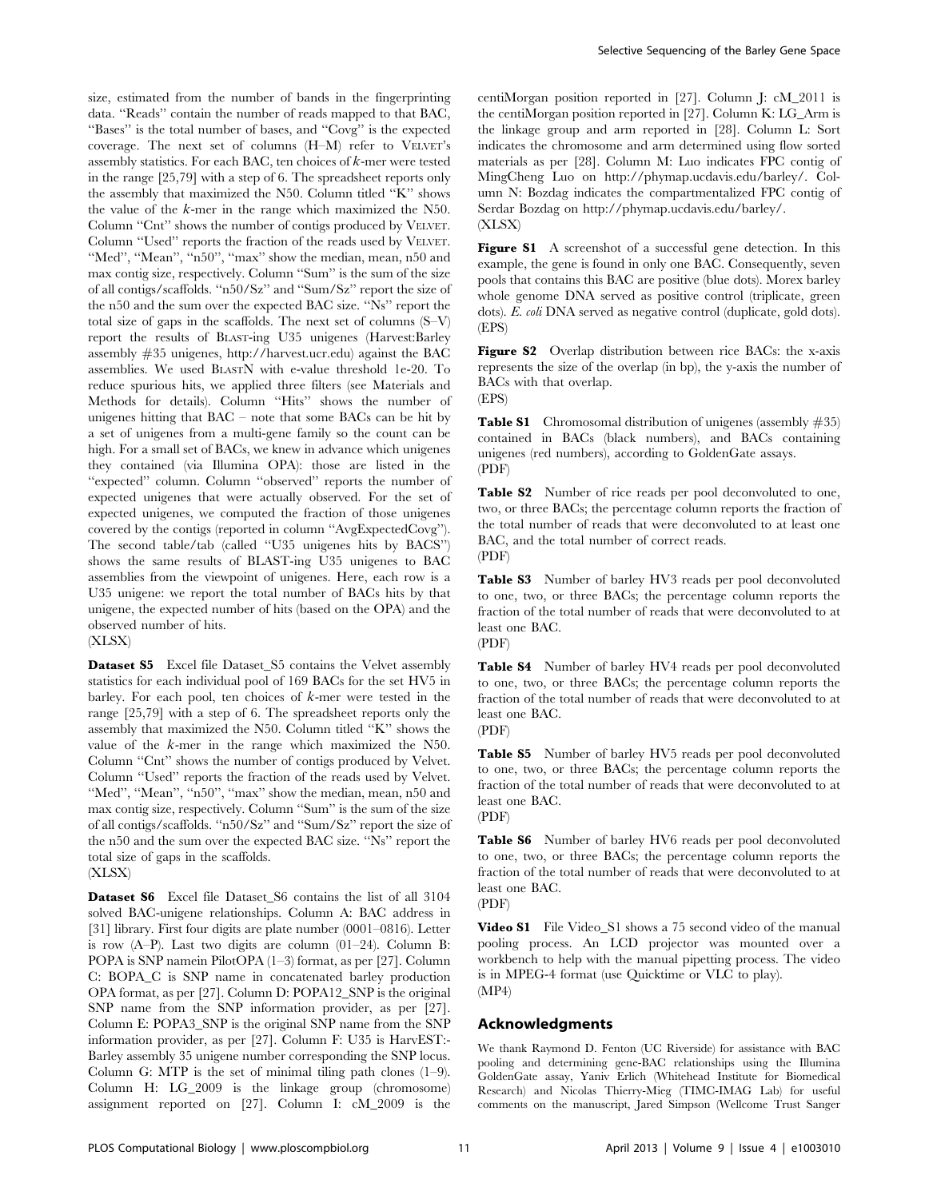size, estimated from the number of bands in the fingerprinting data. ''Reads'' contain the number of reads mapped to that BAC, ''Bases'' is the total number of bases, and ''Covg'' is the expected coverage. The next set of columns (H–M) refer to VELVET's assembly statistics. For each BAC, ten choices of k-mer were tested in the range [25,79] with a step of 6. The spreadsheet reports only the assembly that maximized the N50. Column titled ''K'' shows the value of the  $k$ -mer in the range which maximized the N50. Column ''Cnt'' shows the number of contigs produced by VELVET. Column ''Used'' reports the fraction of the reads used by VELVET. ''Med'', ''Mean'', ''n50'', ''max'' show the median, mean, n50 and max contig size, respectively. Column ''Sum'' is the sum of the size of all contigs/scaffolds. ''n50/Sz'' and ''Sum/Sz'' report the size of the n50 and the sum over the expected BAC size. ''Ns'' report the total size of gaps in the scaffolds. The next set of columns (S–V) report the results of BLAST-ing U35 unigenes (Harvest:Barley assembly #35 unigenes, http://harvest.ucr.edu) against the BAC assemblies. We used BLASTN with e-value threshold 1e-20. To reduce spurious hits, we applied three filters (see Materials and Methods for details). Column ''Hits'' shows the number of unigenes hitting that BAC – note that some BACs can be hit by a set of unigenes from a multi-gene family so the count can be high. For a small set of BACs, we knew in advance which unigenes they contained (via Illumina OPA): those are listed in the "expected" column. Column "observed" reports the number of expected unigenes that were actually observed. For the set of expected unigenes, we computed the fraction of those unigenes covered by the contigs (reported in column ''AvgExpectedCovg''). The second table/tab (called ''U35 unigenes hits by BACS'') shows the same results of BLAST-ing U35 unigenes to BAC assemblies from the viewpoint of unigenes. Here, each row is a U35 unigene: we report the total number of BACs hits by that unigene, the expected number of hits (based on the OPA) and the observed number of hits. (XLSX)

Dataset S5 Excel file Dataset\_S5 contains the Velvet assembly statistics for each individual pool of 169 BACs for the set HV5 in barley. For each pool, ten choices of  $k$ -mer were tested in the range [25,79] with a step of 6. The spreadsheet reports only the assembly that maximized the N50. Column titled ''K'' shows the value of the k-mer in the range which maximized the N50. Column ''Cnt'' shows the number of contigs produced by Velvet. Column ''Used'' reports the fraction of the reads used by Velvet. ''Med'', ''Mean'', ''n50'', ''max'' show the median, mean, n50 and max contig size, respectively. Column ''Sum'' is the sum of the size of all contigs/scaffolds. ''n50/Sz'' and ''Sum/Sz'' report the size of the n50 and the sum over the expected BAC size. ''Ns'' report the total size of gaps in the scaffolds.

(XLSX)

Dataset S6 Excel file Dataset\_S6 contains the list of all 3104 solved BAC-unigene relationships. Column A: BAC address in [31] library. First four digits are plate number (0001–0816). Letter is row (A–P). Last two digits are column (01–24). Column B: POPA is SNP namein PilotOPA (1–3) format, as per [27]. Column C: BOPA\_C is SNP name in concatenated barley production OPA format, as per [27]. Column D: POPA12\_SNP is the original SNP name from the SNP information provider, as per [27]. Column E: POPA3\_SNP is the original SNP name from the SNP information provider, as per [27]. Column F: U35 is HarvEST:- Barley assembly 35 unigene number corresponding the SNP locus. Column G: MTP is the set of minimal tiling path clones  $(1-9)$ . Column H: LG\_2009 is the linkage group (chromosome) assignment reported on [27]. Column I: cM\_2009 is the

centiMorgan position reported in [27]. Column J: cM\_2011 is the centiMorgan position reported in [27]. Column K: LG\_Arm is the linkage group and arm reported in [28]. Column L: Sort indicates the chromosome and arm determined using flow sorted materials as per [28]. Column M: Luo indicates FPC contig of MingCheng Luo on http://phymap.ucdavis.edu/barley/. Column N: Bozdag indicates the compartmentalized FPC contig of Serdar Bozdag on http://phymap.ucdavis.edu/barley/. (XLSX)

Figure S1 A screenshot of a successful gene detection. In this example, the gene is found in only one BAC. Consequently, seven pools that contains this BAC are positive (blue dots). Morex barley whole genome DNA served as positive control (triplicate, green dots). E. coli DNA served as negative control (duplicate, gold dots). (EPS)

Figure S2 Overlap distribution between rice BACs: the x-axis represents the size of the overlap (in bp), the y-axis the number of BACs with that overlap. (EPS)

**Table S1** Chromosomal distribution of unigenes (assembly  $\#35$ ) contained in BACs (black numbers), and BACs containing unigenes (red numbers), according to GoldenGate assays. (PDF)

Table S2 Number of rice reads per pool deconvoluted to one, two, or three BACs; the percentage column reports the fraction of the total number of reads that were deconvoluted to at least one BAC, and the total number of correct reads. (PDF)

Table S3 Number of barley HV3 reads per pool deconvoluted to one, two, or three BACs; the percentage column reports the fraction of the total number of reads that were deconvoluted to at least one BAC.

Table S4 Number of barley HV4 reads per pool deconvoluted to one, two, or three BACs; the percentage column reports the fraction of the total number of reads that were deconvoluted to at least one BAC.

(PDF)

Table S5 Number of barley HV5 reads per pool deconvoluted to one, two, or three BACs; the percentage column reports the fraction of the total number of reads that were deconvoluted to at least one BAC. (PDF)

Table S6 Number of barley HV6 reads per pool deconvoluted to one, two, or three BACs; the percentage column reports the fraction of the total number of reads that were deconvoluted to at least one BAC.

(PDF)

Video S1 File Video\_S1 shows a 75 second video of the manual pooling process. An LCD projector was mounted over a workbench to help with the manual pipetting process. The video is in MPEG-4 format (use Quicktime or VLC to play). (MP4)

# Acknowledgments

We thank Raymond D. Fenton (UC Riverside) for assistance with BAC pooling and determining gene-BAC relationships using the Illumina GoldenGate assay, Yaniv Erlich (Whitehead Institute for Biomedical Research) and Nicolas Thierry-Mieg (TIMC-IMAG Lab) for useful comments on the manuscript, Jared Simpson (Wellcome Trust Sanger

<sup>(</sup>PDF)